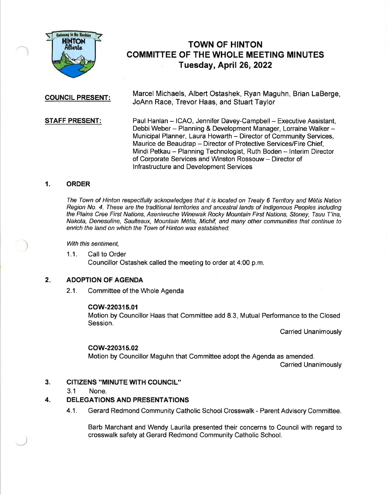

# TOWN OF HINTON COMMITTEE OF THE WHOLE MEETING MINUTES Tuesday, April 26,2022

Marcel Michaels, Albert Ostashek, Ryan Maguhn, Brian LaBerge, **COUNCIL PRESENT:**<br>JoAnn Race, Trevor Haas, and Stuart Taylor

**STAFF PRESENT:** Paul Hanlan – ICAO, Jennifer Davey-Campbell – Executive Assistant, Debbi Weber - Planning & Development Manager, Lorraine Walker -Municipal Planner, Laura Howarth - Director of Community Services, Maurice de Beaudrap - Director of Protective Services/Fire Chief, Mindi Petkau - Planning Technologist, Ruth Boden - Interim Director of Corporate Services and Winston Rossouw - Director of lnfrastructure and Development Services

### 1. ORDER

The Town of Hinton respectfully acknowledges that it is located on Treaty 6 Territory and M6tis Nation Region No. 4. These are the traditional tenitories and ancestral lands of lndigenous Peoples including the Plains Cree First Nations, Aseniwuche Winewak Rocky Mountain First Nations, Stoney, Tsuu T'ina, Nakota, Denesuline, Saulteaux, Mountain M6tis, Michif, and many other communities that continue to enrich the land on which the Town of Hinton was established.

With this sentiment,

1.1. Call to Order Councillor Ostashek called the meeting to order at 4:00 p.m.

### 2. ADOPTION OF AGENDA

2.1. Committee of the Whole Agenda

#### cow-220315.0{

Motion by Councillor Haas that Committee add 8.3, Mutual Performance to the Closed Session.

Carried Unanimously

## cow220315.02

Motion by Councillor Maguhn that Committee adopt the Agenda as amended.

Carried Unanimously

#### CITIZENS "MINUTE WITH COUNCIL'' 3.

3.1 None.

#### DELEGATIONS AND PRESENTATIONS 4.

4.1. Gerard Redmond Community Catholic School Crosswalk - Parent Advisory Committee.

Barb Marchant and Wendy Laurila presented their concerns to Council with regard to crosswalk safety at Gerard Redmond Community Catholic School.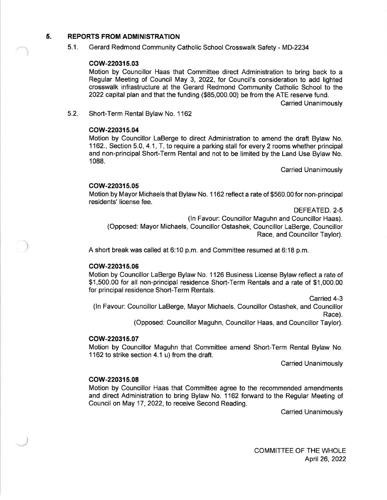### 5. REPORTS FROM ADMINISTRATION

5.1. Gerard Redmond Community Catholic School Crosswalk Safety - MD-2234

#### cow-220315.03

Motion by Councillor Haas that Committee direct Administration to bring back to a Regular Meeting of Council May 3, 2022, for Council's consideration to add lighted crosswalk infrastructure at the Gerard Redmond Community Catholic School to the 2022 capitd plan and that the funding (\$85,000.00) be from the ATE reserve fund.

Carried Unanimously

Short-Term Rental Bylaw No. 1162  $5.2 -$ 

### cow-220315.04

Motion by Councillor LaBerge to direct Administration to amend the draft Bylaw No. 1162., Section 5.0, 4.1, T, to require a parking stall for every 2 rooms whether principal and non-principal Short-Term Rental and not to be limited by the Land Use Bylaw No. <sup>1</sup>088.

Carried Unanimously

### cow-220315.05

Motion by Mayor Michaels that Bylaw No. 1 162 reflect a rate of \$560.00 for non-principal residents' license fee.

DEFEATED.2-5

(ln Favour: Councillor Maguhn and Councillor Haas). (Opposed: Mayor Michaels, Councillor Ostashek, Councillor LaBerge, Councillor

Race, and Councillor Taylor).

A short break was called at 6:10 p.m. and Committee resumed at 6:18 p.m.

### cow-220315.06

Motion by Councillor LaBerge Bylaw No. 1126 Business License Bylaw reflect a rate of \$1,500.00 for all non-principal residence Short-Term Rentals and a rate of \$1,000.00 for principal residence Short-Term Rentals.

Carried 4-3

(ln Favour: Councillor LaBerge, Mayor Michaels, Councillor Ostashek, and Councillor Race).

(Opposed: Councillor Maguhn, Councillor Haas, and Councillor Taylor).

#### cow-220315.07

Motion by Councillor Maguhn that Committee amend Short-Term Rental Bylaw No. 1162 to strike section 4.1 u) from the draft.

Carried Unanimously

#### cow-220315.08

Motion by Councillor Haas that Commiftee agree to the recommended amendments and direct Administration to bring Bylaw No. 1162 forward to the Regular Meeting of Council on May 17,2022, to receive Second Reading.

Carried Unanimously

COMMITTEE OF THE WHOLE April26,2022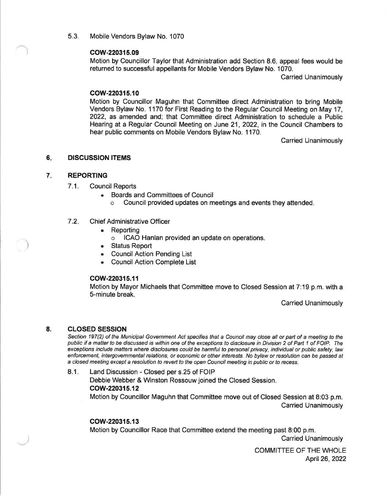5.3. Mobile Vendors Bylaw No. <sup>1070</sup>

### cow-220315.09

Motion by Councillor Taylor that Administration add Section 8.6, appeal fees would be returned to successful appellants for Mobile Vendors Bylaw No. 1070.

Carried Unanimously

### cow-220315.10

Motion by Councillor Maguhn that Committee direct Administration to bring Mobile Vendors Bylaw No. 1170 for First Reading to the Regular Council Meeting on May 17, 2022, as amended and; that Committee direct Administration to schedule a Public Hearing at a Regular Council Meeting on June 21, 2022, in the Council Chambers to hear public comments on Mobile Vendors Bylaw No. 1170.

Carried Unanimously

#### $6.$ DISCUSSION ITEMS

#### 7 REPORTING

- 7.1. Council Reports
	- . Boards and Committees of Council
		- o Council provided updates on meetings and events they attended

#### 7.2 Chief Administrative Officer

- . Reporting
	- o ICAO Hanlan provided an update on operations.
- Status Report
- **Council Action Pending List**
- . CouncilAction Complete List

#### cow-220315.11

Motion by Mayor Michaels that Committee move to Closed Session at 7:19 p.m. with a 5-minute break.

Carried Unanimously

#### CLOSED SESSION 8.

-r)

Section 197(2) of the Municipal Government Act specifies that a Council may close all or part of a meeting to the public if a matter to be discussed is within one of the exceptions to disclosure in Division 2 of Part 1 of FOIP. The exceptions include matters where disclosures could be harmful to personal privacy, individual or public safety, law enforcement, intergovemmental relations, or economic or other interesfs. No bylaw or resolution can be passed af a closed meeting except a resolution to revert to the open Council meeting in public or fo recess.

8.1. Land Discussion - Closed per s.25 of FOIP Debbie Webber & Winston Rossouw joined the Closed Session. cow-220315.12 Motion by Councillor Maguhn that Committee move out of Closed Session at 8:03 p.m. Carried Unanimously

#### cow-220315.13

Motion by Councillor Race that Committee extend the meeting past 8:00 p.m.

Carried Unanimously

COMMITTEE OF THE WHOLE April26,2022